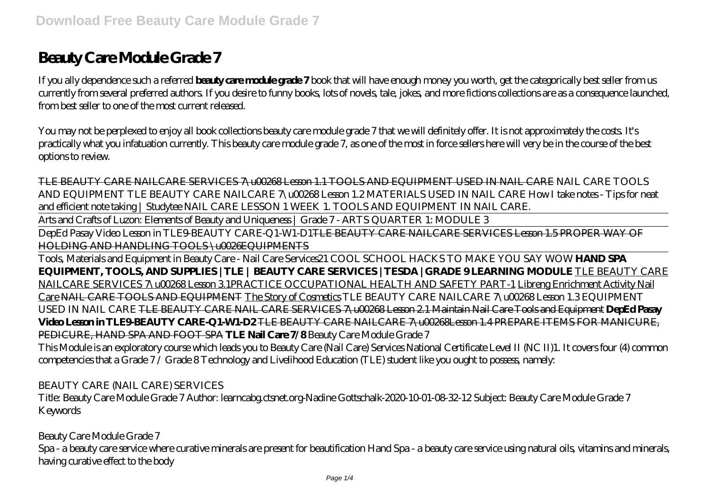# **Beauty Care Module Grade 7**

If you ally dependence such a referred **beauty care module grade 7** book that will have enough money you worth, get the categorically best seller from us currently from several preferred authors. If you desire to funny books, lots of novels, tale, jokes, and more fictions collections are as a consequence launched, from best seller to one of the most current released.

You may not be perplexed to enjoy all book collections beauty care module grade 7 that we will definitely offer. It is not approximately the costs. It's practically what you infatuation currently. This beauty care module grade 7, as one of the most in force sellers here will very be in the course of the best options to review.

TLE BEAUTY CARE NAILCARE SERVICES 7\u00268 Lesson 1.1 TOOLS AND EQUIPMENT USED IN NAIL CARE *NAIL CARE TOOLS AND EQUIPMENT TLE BEAUTY CARE NAILCARE 7\u00268 Lesson 1.2 MATERIALS USED IN NAIL CARE* How I take notes - Tips for neat and efficient note taking | Studytee NAIL CARE LESSON 1 WEEK 1. TOOLS AND EQUIPMENT IN NAIL CARE.

Arts and Crafts of Luzon: Elements of Beauty and Uniqueness | Grade 7 - ARTS QUARTER 1: MODULE 3

DepEd Pasay Video Lesson in TLE9-BEAUTY CARE-Q1-W1-D1TLE BEAUTY CARE NAILCARE SERVICES Lesson 1.5 PROPER WAY OF HOLDING AND HANDLING TOOLS\U0026EQUIPMENTS

Tools, Materials and Equipment in Beauty Care - Nail Care Services*21 COOL SCHOOL HACKS TO MAKE YOU SAY WOW* **HAND SPA EQUIPMENT, TOOLS, AND SUPPLIES | TLE | BEAUTY CARE SERVICES | TESDA | GRADE 9 LEARNING MODULE** TLE BEAUTY CARE NAILCARE SERVICES 7\u00268 Lesson 3.1PRACTICE OCCUPATIONAL HEALTH AND SAFETY PART-1 Libreng Enrichment Activity Nail Care NAIL CARE TOOLS AND EQUIPMENT The Story of Cosmetics *TLE BEAUTY CARE NAILCARE 7\u00268 Lesson 1.3 EQUIPMENT USED IN NAIL CARE* TLE BEAUTY CARE NAIL CARE SERVICES 7\u00268 Lesson 2.1 Maintain Nail Care Tools and Equipment **DepEd Pasay Video Lesson in TLE9-BEAUTY CARE-Q1-W1-D2** TLE BEAUTY CARE NAILCARE 7\u00268Lesson 1.4 PREPARE ITEMS FOR MANICURE, PEDICURE, HAND SPA AND FOOT SPA **TLE Nail Care 7/8** *Beauty Care Module Grade 7*

This Module is an exploratory course which leads you to Beauty Care (Nail Care) Services National Certificate Level II (NC II)1. It covers four (4) common competencies that a Grade 7 / Grade 8 Technology and Livelihood Education (TLE) student like you ought to possess, namely:

#### *BEAUTY CARE (NAIL CARE) SERVICES*

Title: Beauty Care Module Grade 7 Author: learncabg.ctsnet.org-Nadine Gottschalk-2020-10-01-08-32-12 Subject: Beauty Care Module Grade 7 Keywords

#### *Beauty Care Module Grade 7*

Spa - a beauty care service where curative minerals are present for beautification Hand Spa - a beauty care service using natural oils, vitamins and minerals, having curative effect to the body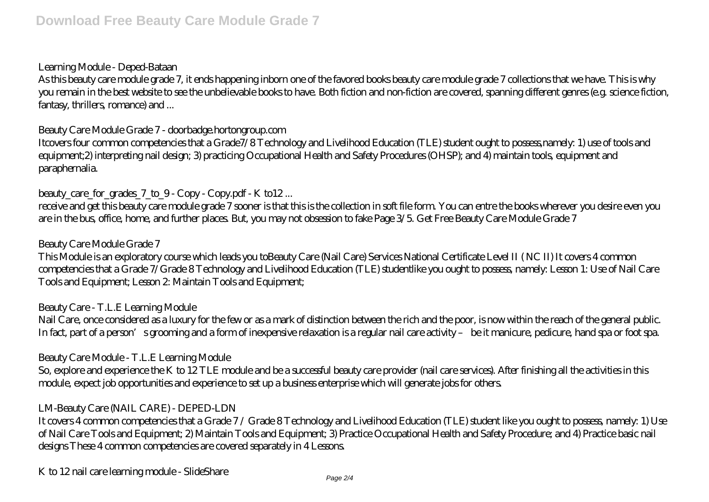#### *Learning Module - Deped-Bataan*

As this beauty care module grade 7, it ends happening inborn one of the favored books beauty care module grade 7 collections that we have. This is why you remain in the best website to see the unbelievable books to have. Both fiction and non-fiction are covered, spanning different genres (e.g. science fiction, fantasy, thrillers, romance) and ...

#### *Beauty Care Module Grade 7 - doorbadge.hortongroup.com*

Itcovers four common competencies that a Grade7/8 Technology and Livelihood Education (TLE) student ought to possess,namely: 1) use of tools and equipment;2) interpreting nail design; 3) practicing Occupational Health and Safety Procedures (OHSP); and 4) maintain tools, equipment and paraphernalia.

### *beauty* care for grades 7 to 9 - Copy - Copy.pdf - K to12...

receive and get this beauty care module grade 7 sooner is that this is the collection in soft file form. You can entre the books wherever you desire even you are in the bus, office, home, and further places. But, you may not obsession to fake Page 3/5. Get Free Beauty Care Module Grade 7

#### *Beauty Care Module Grade 7*

This Module is an exploratory course which leads you toBeauty Care (Nail Care) Services National Certificate Level II ( NC II) It covers 4 common competencies that a Grade 7/Grade 8 Technology and Livelihood Education (TLE) studentlike you ought to possess, namely: Lesson 1: Use of Nail Care Tools and Equipment; Lesson 2: Maintain Tools and Equipment;

#### *Beauty Care - T.L.E Learning Module*

Nail Care, once considered as a luxury for the few or as a mark of distinction between the rich and the poor, is now within the reach of the general public. In fact, part of a person's grooming and a form of inexpensive relaxation is a regular nail care activity – be it manicure, pedicure, hand spa or foot spa.

#### *Beauty Care Module - T.L.E Learning Module*

So, explore and experience the K to 12 TLE module and be a successful beauty care provider (nail care services). After finishing all the activities in this module, expect job opportunities and experience to set up a business enterprise which will generate jobs for others.

#### *LM-Beauty Care (NAIL CARE) - DEPED-LDN*

It covers 4 common competencies that a Grade 7 / Grade 8 Technology and Livelihood Education (TLE) student like you ought to possess, namely: 1) Use of Nail Care Tools and Equipment; 2) Maintain Tools and Equipment; 3) Practice Occupational Health and Safety Procedure; and 4) Practice basic nail designs These 4 common competencies are covered separately in 4 Lessons.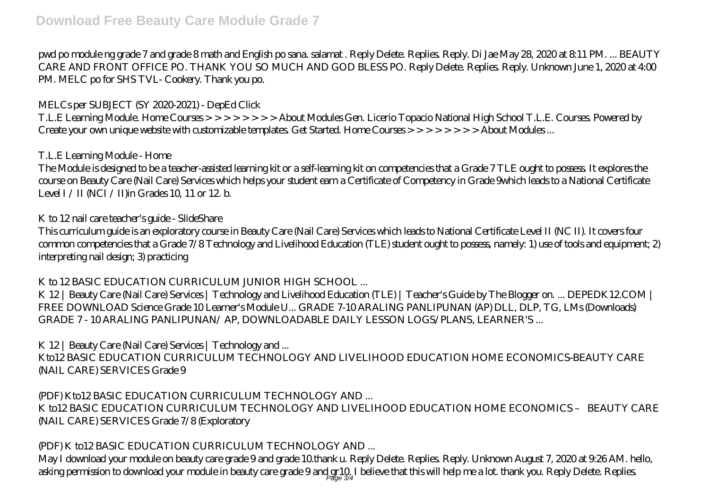pwd po module ng grade 7 and grade 8 math and English po sana. salamat . Reply Delete. Replies. Reply. Di Jae May 28, 2020 at 8:11 PM. ... BEAUTY CARE AND FRONT OFFICE PO. THANK YOU SO MUCH AND GOD BLESS PO. Reply Delete. Replies. Reply. Unknown June 1, 2020 at 4:00 PM. MELC po for SHS TVL- Cookery. Thank you po.

## *MELCs per SUBJECT (SY 2020-2021) - DepEd Click*

T.L.E Learning Module. Home Courses > > > > > > > > About Modules Gen. Licerio Topacio National High School T.L.E. Courses. Powered by Create your own unique website with customizable templates. Get Started. Home Courses > > > > > > > > About Modules ...

## *T.L.E Learning Module - Home*

The Module is designed to be a teacher-assisted learning kit or a self-learning kit on competencies that a Grade 7 TLE ought to possess. It explores the course on Beauty Care (Nail Care) Services which helps your student earn a Certificate of Competency in Grade 9which leads to a National Certificate Level I / II (NCI / II)in Grades 10, 11 or 12 b.

## *K to 12 nail care teacher's guide - SlideShare*

This curriculum guide is an exploratory course in Beauty Care (Nail Care) Services which leads to National Certificate Level II (NC II). It covers four common competencies that a Grade 7/8 Technology and Livelihood Education (TLE) student ought to possess, namely: 1) use of tools and equipment; 2) interpreting nail design; 3) practicing

# *K to 12 BASIC EDUCATION CURRICULUM JUNIOR HIGH SCHOOL ...*

K 12 | Beauty Care (Nail Care) Services | Technology and Livelihood Education (TLE) | Teacher's Guide by The Blogger on. ... DEPEDK12.COM | FREE DOWNLOAD Science Grade 10 Learner's Module U... GRADE 7-10 ARALING PANLIPUNAN (AP) DLL, DLP, TG, LMs (Downloads) GRADE 7 - 10 ARALING PANLIPUNAN/ AP, DOWNLOADABLE DAILY LESSON LOGS/PLANS, LEARNER'S ...

# *K 12 | Beauty Care (Nail Care) Services | Technology and ...*

Kto12 BASIC EDUCATION CURRICULUM TECHNOLOGY AND LIVELIHOOD EDUCATION HOME ECONOMICS-BEAUTY CARE (NAIL CARE) SERVICES Grade 9

## *(PDF) Kto12 BASIC EDUCATION CURRICULUM TECHNOLOGY AND ...* K to12 BASIC EDUCATION CURRICULUM TECHNOLOGY AND LIVELIHOOD EDUCATION HOME ECONOMICS – BEAUTY CARE (NAIL CARE) SERVICES Grade 7/8 (Exploratory

# *(PDF) K to12 BASIC EDUCATION CURRICULUM TECHNOLOGY AND ...*

May I download your module on beauty care grade 9 and grade 10.thank u. Reply Delete. Replies. Reply. Unknown August 7, 2020 at 9:26 AM. hello, asking permission to download your module in beauty care grade 9 and gr10, I believe that this will help me a lot. thank you. Reply Delete. Replies.